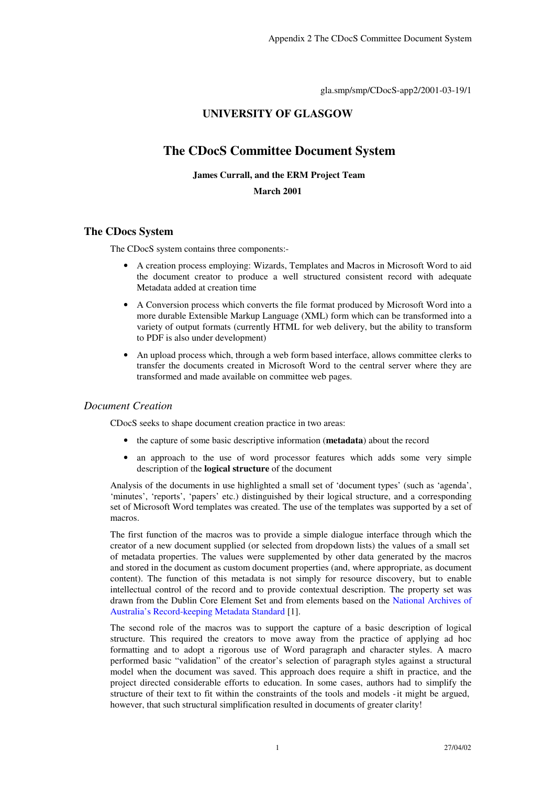gla.smp/smp/CDocS-app2/2001-03-19/1

# **UNIVERSITY OF GLASGOW**

# **The CDocS Committee Document System**

#### **James Currall, and the ERM Project Team**

### **March 2001**

### **The CDocs System**

The CDocS system contains three components:-

- A creation process employing: Wizards, Templates and Macros in Microsoft Word to aid the document creator to produce a well structured consistent record with adequate Metadata added at creation time
- A Conversion process which converts the file format produced by Microsoft Word into a more durable Extensible Markup Language (XML) form which can be transformed into a variety of output formats (currently HTML for web delivery, but the ability to transform to PDF is also under development)
- An upload process which, through a web form based interface, allows committee clerks to transfer the documents created in Microsoft Word to the central server where they are transformed and made available on committee web pages.

### *Document Creation*

CDocS seeks to shape document creation practice in two areas:

- the capture of some basic descriptive information (**metadata**) about the record
- an approach to the use of word processor features which adds some very simple description of the **logical structure** of the document

Analysis of the documents in use highlighted a small set of 'document types' (such as 'agenda', 'minutes', 'reports', 'papers' etc.) distinguished by their logical structure, and a corresponding set of Microsoft Word templates was created. The use of the templates was supported by a set of macros.

The first function of the macros was to provide a simple dialogue interface through which the creator of a new document supplied (or selected from dropdown lists) the values of a small set of metadata properties. The values were supplemented by other data generated by the macros and stored in the document as custom document properties (and, where appropriate, as document content). The function of this metadata is not simply for resource discovery, but to enable intellectual control of the record and to provide contextual description. The property set was drawn from the Dublin Core Element Set and from elements based on the National Archives of Australia's Record-keeping Metadata Standard [1].

The second role of the macros was to support the capture of a basic description of logical structure. This required the creators to move away from the practice of applying ad hoc formatting and to adopt a rigorous use of Word paragraph and character styles. A macro performed basic "validation" of the creator's selection of paragraph styles against a structural model when the document was saved. This approach does require a shift in practice, and the project directed considerable efforts to education. In some cases, authors had to simplify the structure of their text to fit within the constraints of the tools and models - it might be argued, however, that such structural simplification resulted in documents of greater clarity!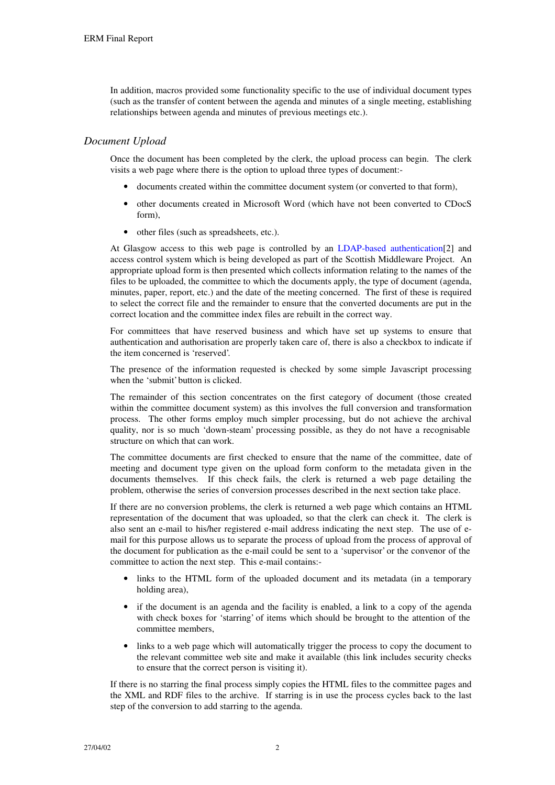In addition, macros provided some functionality specific to the use of individual document types (such as the transfer of content between the agenda and minutes of a single meeting, establishing relationships between agenda and minutes of previous meetings etc.).

## *Document Upload*

Once the document has been completed by the clerk, the upload process can begin. The clerk visits a web page where there is the option to upload three types of document:-

- documents created within the committee document system (or converted to that form),
- other documents created in Microsoft Word (which have not been converted to CDocS form),
- other files (such as spreadsheets, etc.).

At Glasgow access to this web page is controlled by an LDAP-based authentication[2] and access control system which is being developed as part of the Scottish Middleware Project. An appropriate upload form is then presented which collects information relating to the names of the files to be uploaded, the committee to which the documents apply, the type of document (agenda, minutes, paper, report, etc.) and the date of the meeting concerned. The first of these is required to select the correct file and the remainder to ensure that the converted documents are put in the correct location and the committee index files are rebuilt in the correct way.

For committees that have reserved business and which have set up systems to ensure that authentication and authorisation are properly taken care of, there is also a checkbox to indicate if the item concerned is 'reserved'.

The presence of the information requested is checked by some simple Javascript processing when the 'submit' button is clicked.

The remainder of this section concentrates on the first category of document (those created within the committee document system) as this involves the full conversion and transformation process. The other forms employ much simpler processing, but do not achieve the archival quality, nor is so much 'down-steam' processing possible, as they do not have a recognisable structure on which that can work.

The committee documents are first checked to ensure that the name of the committee, date of meeting and document type given on the upload form conform to the metadata given in the documents themselves. If this check fails, the clerk is returned a web page detailing the problem, otherwise the series of conversion processes described in the next section take place.

If there are no conversion problems, the clerk is returned a web page which contains an HTML representation of the document that was uploaded, so that the clerk can check it. The clerk is also sent an e-mail to his/her registered e-mail address indicating the next step. The use of email for this purpose allows us to separate the process of upload from the process of approval of the document for publication as the e-mail could be sent to a 'supervisor' or the convenor of the committee to action the next step. This e-mail contains:-

- links to the HTML form of the uploaded document and its metadata (in a temporary holding area),
- if the document is an agenda and the facility is enabled, a link to a copy of the agenda with check boxes for 'starring' of items which should be brought to the attention of the committee members,
- links to a web page which will automatically trigger the process to copy the document to the relevant committee web site and make it available (this link includes security checks to ensure that the correct person is visiting it).

If there is no starring the final process simply copies the HTML files to the committee pages and the XML and RDF files to the archive. If starring is in use the process cycles back to the last step of the conversion to add starring to the agenda.